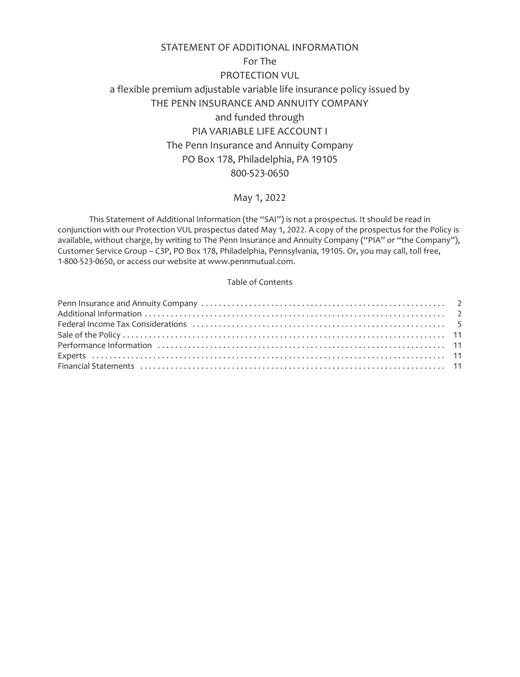# STATEMENT OF ADDITIONAL INFORMATION For The PROTECTION VUL a flexible premium adjustable variable life insurance policy issued by THE PENN INSURANCE AND ANNUITY COMPANY and funded through PIA VARIABLE LIFE ACCOUNT I The Penn Insurance and Annuity Company PO Box 178, Philadelphia, PA 19105 800-523-0650

## May 1, 2022

This Statement of Additional Information (the "SAI") is not a prospectus. It should be read in conjunction with our Protection VUL prospectus dated May 1, 2022. A copy of the prospectus for the Policy is available, without charge, by writing to The Penn Insurance and Annuity Company ("PIA" or "the Company"), Customer Service Group – C3P, PO Box 178, Philadelphia, Pennsylvania, 19105. Or, you may call, toll free, 1-800-523-0650, or access our website at www.pennmutual.com.

## Table of Contents

| Financial Statements (and according to the control of the control of the control of the control of the control of the control of the control of the control of the control of the control of the control of the control of the |  |
|--------------------------------------------------------------------------------------------------------------------------------------------------------------------------------------------------------------------------------|--|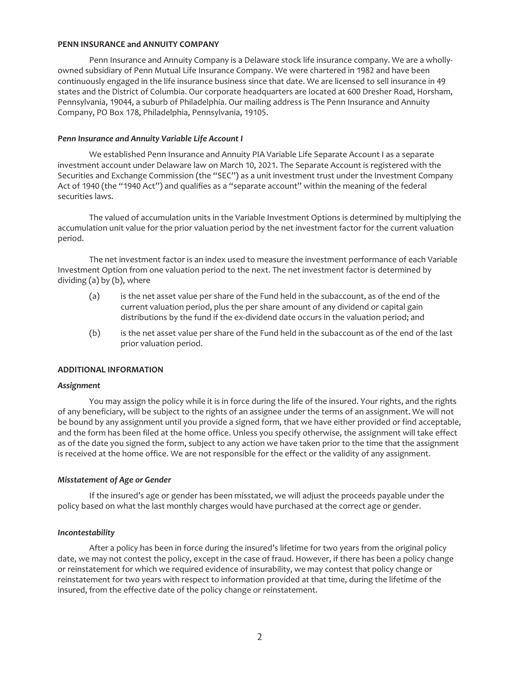#### <span id="page-1-0"></span>**PENN INSURANCE and ANNUITY COMPANY**

Penn Insurance and Annuity Company is a Delaware stock life insurance company. We are a whollyowned subsidiary of Penn Mutual Life Insurance Company. We were chartered in 1982 and have been continuously engaged in the life insurance business since that date. We are licensed to sell insurance in 49 states and the District of Columbia. Our corporate headquarters are located at 600 Dresher Road, Horsham, Pennsylvania, 19044, a suburb of Philadelphia. Our mailing address is The Penn Insurance and Annuity Company, PO Box 178, Philadelphia, Pennsylvania, 19105.

#### *Penn Insurance and Annuity Variable Life Account I*

We established Penn Insurance and Annuity PIA Variable Life Separate Account I as a separate investment account under Delaware law on March 10, 2021. The Separate Account is registered with the Securities and Exchange Commission (the "SEC") as a unit investment trust under the Investment Company Act of 1940 (the "1940 Act") and qualifies as a "separate account" within the meaning of the federal securities laws.

The valued of accumulation units in the Variable Investment Options is determined by multiplying the accumulation unit value for the prior valuation period by the net investment factor for the current valuation period.

The net investment factor is an index used to measure the investment performance of each Variable Investment Option from one valuation period to the next. The net investment factor is determined by dividing (a) by (b), where

- (a) is the net asset value per share of the Fund held in the subaccount, as of the end of the current valuation period, plus the per share amount of any dividend or capital gain distributions by the fund if the ex-dividend date occurs in the valuation period; and
- (b) is the net asset value per share of the Fund held in the subaccount as of the end of the last prior valuation period.

#### <span id="page-1-1"></span>**ADDITIONAL INFORMATION**

#### *Assignment*

You may assign the policy while it is in force during the life of the insured. Your rights, and the rights of any beneficiary, will be subject to the rights of an assignee under the terms of an assignment. We will not be bound by any assignment until you provide a signed form, that we have either provided or find acceptable, and the form has been filed at the home office. Unless you specify otherwise, the assignment will take effect as of the date you signed the form, subject to any action we have taken prior to the time that the assignment is received at the home office. We are not responsible for the effect or the validity of any assignment.

#### *Misstatement of Age or Gender*

If the insured's age or gender has been misstated, we will adjust the proceeds payable under the policy based on what the last monthly charges would have purchased at the correct age or gender.

#### *Incontestability*

After a policy has been in force during the insured's lifetime for two years from the original policy date, we may not contest the policy, except in the case of fraud. However, if there has been a policy change or reinstatement for which we required evidence of insurability, we may contest that policy change or reinstatement for two years with respect to information provided at that time, during the lifetime of the insured, from the effective date of the policy change or reinstatement.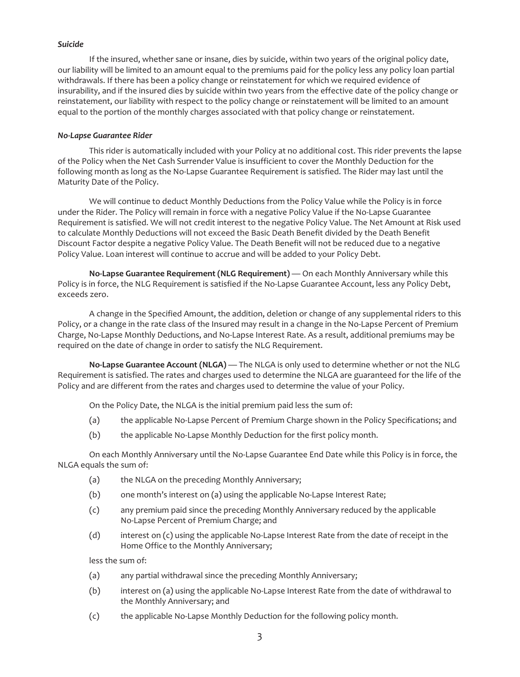#### *Suicide*

If the insured, whether sane or insane, dies by suicide, within two years of the original policy date, our liability will be limited to an amount equal to the premiums paid for the policy less any policy loan partial withdrawals. If there has been a policy change or reinstatement for which we required evidence of insurability, and if the insured dies by suicide within two years from the effective date of the policy change or reinstatement, our liability with respect to the policy change or reinstatement will be limited to an amount equal to the portion of the monthly charges associated with that policy change or reinstatement.

#### *No-Lapse Guarantee Rider*

This rider is automatically included with your Policy at no additional cost. This rider prevents the lapse of the Policy when the Net Cash Surrender Value is insufficient to cover the Monthly Deduction for the following month as long as the No-Lapse Guarantee Requirement is satisfied. The Rider may last until the Maturity Date of the Policy.

We will continue to deduct Monthly Deductions from the Policy Value while the Policy is in force under the Rider. The Policy will remain in force with a negative Policy Value if the No-Lapse Guarantee Requirement is satisfied. We will not credit interest to the negative Policy Value. The Net Amount at Risk used to calculate Monthly Deductions will not exceed the Basic Death Benefit divided by the Death Benefit Discount Factor despite a negative Policy Value. The Death Benefit will not be reduced due to a negative Policy Value. Loan interest will continue to accrue and will be added to your Policy Debt.

**No-Lapse Guarantee Requirement (NLG Requirement)** — On each Monthly Anniversary while this Policy is in force, the NLG Requirement is satisfied if the No-Lapse Guarantee Account, less any Policy Debt, exceeds zero.

A change in the Specified Amount, the addition, deletion or change of any supplemental riders to this Policy, or a change in the rate class of the Insured may result in a change in the No-Lapse Percent of Premium Charge, No-Lapse Monthly Deductions, and No-Lapse Interest Rate. As a result, additional premiums may be required on the date of change in order to satisfy the NLG Requirement.

**No-Lapse Guarantee Account (NLGA)** — The NLGA is only used to determine whether or not the NLG Requirement is satisfied. The rates and charges used to determine the NLGA are guaranteed for the life of the Policy and are different from the rates and charges used to determine the value of your Policy.

On the Policy Date, the NLGA is the initial premium paid less the sum of:

- (a) the applicable No-Lapse Percent of Premium Charge shown in the Policy Specifications; and
- (b) the applicable No-Lapse Monthly Deduction for the first policy month.

On each Monthly Anniversary until the No-Lapse Guarantee End Date while this Policy is in force, the NLGA equals the sum of:

- (a) the NLGA on the preceding Monthly Anniversary;
- (b) one month's interest on (a) using the applicable No-Lapse Interest Rate;
- (c) any premium paid since the preceding Monthly Anniversary reduced by the applicable No-Lapse Percent of Premium Charge; and
- (d) interest on (c) using the applicable No-Lapse Interest Rate from the date of receipt in the Home Office to the Monthly Anniversary;

less the sum of:

- (a) any partial withdrawal since the preceding Monthly Anniversary;
- (b) interest on (a) using the applicable No-Lapse Interest Rate from the date of withdrawal to the Monthly Anniversary; and
- (c) the applicable No-Lapse Monthly Deduction for the following policy month.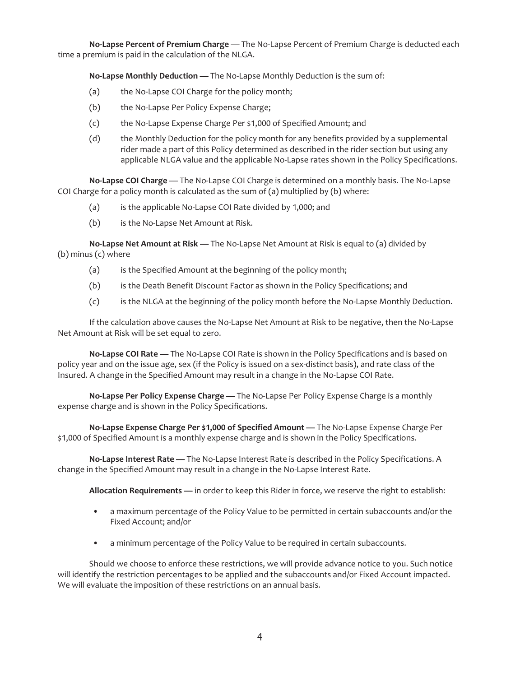**No-Lapse Percent of Premium Charge** — The No-Lapse Percent of Premium Charge is deducted each time a premium is paid in the calculation of the NLGA.

**No-Lapse Monthly Deduction —** The No-Lapse Monthly Deduction is the sum of:

- (a) the No-Lapse COI Charge for the policy month;
- (b) the No-Lapse Per Policy Expense Charge;
- (c) the No-Lapse Expense Charge Per \$1,000 of Specified Amount; and
- (d) the Monthly Deduction for the policy month for any benefits provided by a supplemental rider made a part of this Policy determined as described in the rider section but using any applicable NLGA value and the applicable No-Lapse rates shown in the Policy Specifications.

**No-Lapse COI Charge** — The No-Lapse COI Charge is determined on a monthly basis. The No-Lapse COI Charge for a policy month is calculated as the sum of (a) multiplied by (b) where:

- (a) is the applicable No-Lapse COI Rate divided by 1,000; and
- (b) is the No-Lapse Net Amount at Risk.

**No-Lapse Net Amount at Risk —** The No-Lapse Net Amount at Risk is equal to (a) divided by (b) minus (c) where

- (a) is the Specified Amount at the beginning of the policy month;
- (b) is the Death Benefit Discount Factor as shown in the Policy Specifications; and
- (c) is the NLGA at the beginning of the policy month before the No-Lapse Monthly Deduction.

If the calculation above causes the No-Lapse Net Amount at Risk to be negative, then the No-Lapse Net Amount at Risk will be set equal to zero.

**No-Lapse COI Rate —** The No-Lapse COI Rate is shown in the Policy Specifications and is based on policy year and on the issue age, sex (if the Policy is issued on a sex-distinct basis), and rate class of the Insured. A change in the Specified Amount may result in a change in the No-Lapse COI Rate.

**No-Lapse Per Policy Expense Charge —** The No-Lapse Per Policy Expense Charge is a monthly expense charge and is shown in the Policy Specifications.

**No-Lapse Expense Charge Per \$1,000 of Specified Amount —** The No-Lapse Expense Charge Per \$1,000 of Specified Amount is a monthly expense charge and is shown in the Policy Specifications.

**No-Lapse Interest Rate —** The No-Lapse Interest Rate is described in the Policy Specifications. A change in the Specified Amount may result in a change in the No-Lapse Interest Rate.

**Allocation Requirements —** in order to keep this Rider in force, we reserve the right to establish:

- a maximum percentage of the Policy Value to be permitted in certain subaccounts and/or the Fixed Account; and/or
- a minimum percentage of the Policy Value to be required in certain subaccounts.

Should we choose to enforce these restrictions, we will provide advance notice to you. Such notice will identify the restriction percentages to be applied and the subaccounts and/or Fixed Account impacted. We will evaluate the imposition of these restrictions on an annual basis.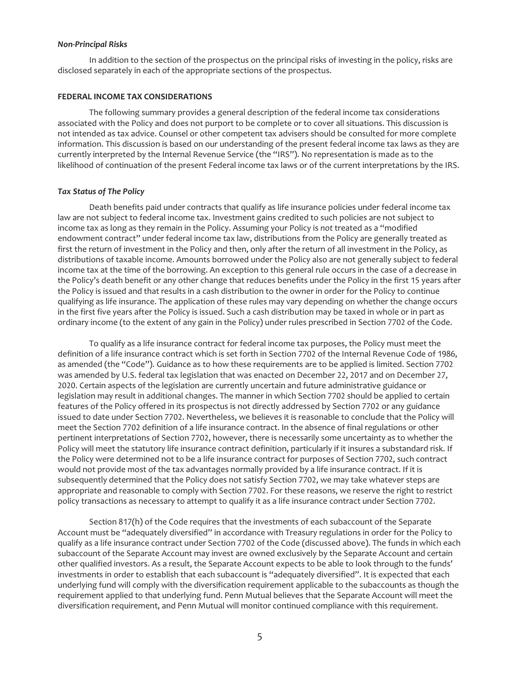#### *Non-Principal Risks*

In addition to the section of the prospectus on the principal risks of investing in the policy, risks are disclosed separately in each of the appropriate sections of the prospectus.

#### <span id="page-4-0"></span>**FEDERAL INCOME TAX CONSIDERATIONS**

The following summary provides a general description of the federal income tax considerations associated with the Policy and does not purport to be complete or to cover all situations. This discussion is not intended as tax advice. Counsel or other competent tax advisers should be consulted for more complete information. This discussion is based on our understanding of the present federal income tax laws as they are currently interpreted by the Internal Revenue Service (the "IRS"). No representation is made as to the likelihood of continuation of the present Federal income tax laws or of the current interpretations by the IRS.

#### *Tax Status of The Policy*

Death benefits paid under contracts that qualify as life insurance policies under federal income tax law are not subject to federal income tax. Investment gains credited to such policies are not subject to income tax as long as they remain in the Policy. Assuming your Policy is *not* treated as a "modified endowment contract" under federal income tax law, distributions from the Policy are generally treated as first the return of investment in the Policy and then, only after the return of all investment in the Policy, as distributions of taxable income. Amounts borrowed under the Policy also are not generally subject to federal income tax at the time of the borrowing. An exception to this general rule occurs in the case of a decrease in the Policy's death benefit or any other change that reduces benefits under the Policy in the first 15 years after the Policy is issued and that results in a cash distribution to the owner in order for the Policy to continue qualifying as life insurance. The application of these rules may vary depending on whether the change occurs in the first five years after the Policy is issued. Such a cash distribution may be taxed in whole or in part as ordinary income (to the extent of any gain in the Policy) under rules prescribed in Section 7702 of the Code.

To qualify as a life insurance contract for federal income tax purposes, the Policy must meet the definition of a life insurance contract which is set forth in Section 7702 of the Internal Revenue Code of 1986, as amended (the "Code"). Guidance as to how these requirements are to be applied is limited. Section 7702 was amended by U.S. federal tax legislation that was enacted on December 22, 2017 and on December 27, 2020. Certain aspects of the legislation are currently uncertain and future administrative guidance or legislation may result in additional changes. The manner in which Section 7702 should be applied to certain features of the Policy offered in its prospectus is not directly addressed by Section 7702 or any guidance issued to date under Section 7702. Nevertheless, we believes it is reasonable to conclude that the Policy will meet the Section 7702 definition of a life insurance contract. In the absence of final regulations or other pertinent interpretations of Section 7702, however, there is necessarily some uncertainty as to whether the Policy will meet the statutory life insurance contract definition, particularly if it insures a substandard risk. If the Policy were determined not to be a life insurance contract for purposes of Section 7702, such contract would not provide most of the tax advantages normally provided by a life insurance contract. If it is subsequently determined that the Policy does not satisfy Section 7702, we may take whatever steps are appropriate and reasonable to comply with Section 7702. For these reasons, we reserve the right to restrict policy transactions as necessary to attempt to qualify it as a life insurance contract under Section 7702.

Section 817(h) of the Code requires that the investments of each subaccount of the Separate Account must be "adequately diversified" in accordance with Treasury regulations in order for the Policy to qualify as a life insurance contract under Section 7702 of the Code (discussed above). The funds in which each subaccount of the Separate Account may invest are owned exclusively by the Separate Account and certain other qualified investors. As a result, the Separate Account expects to be able to look through to the funds' investments in order to establish that each subaccount is "adequately diversified". It is expected that each underlying fund will comply with the diversification requirement applicable to the subaccounts as though the requirement applied to that underlying fund. Penn Mutual believes that the Separate Account will meet the diversification requirement, and Penn Mutual will monitor continued compliance with this requirement.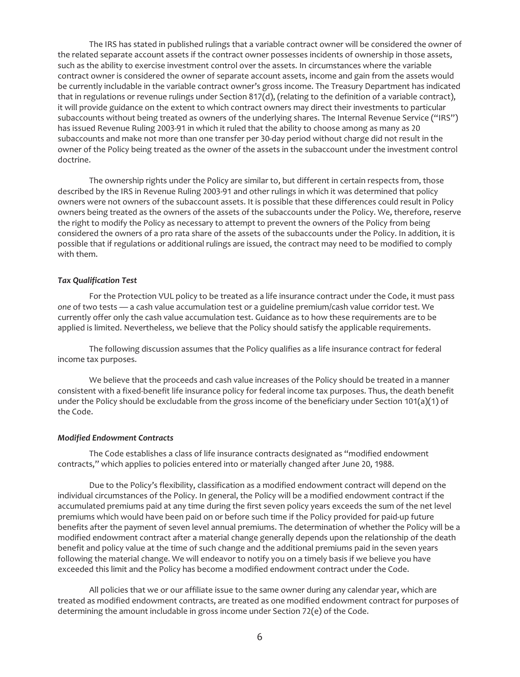The IRS has stated in published rulings that a variable contract owner will be considered the owner of the related separate account assets if the contract owner possesses incidents of ownership in those assets, such as the ability to exercise investment control over the assets. In circumstances where the variable contract owner is considered the owner of separate account assets, income and gain from the assets would be currently includable in the variable contract owner's gross income. The Treasury Department has indicated that in regulations or revenue rulings under Section 817(d), (relating to the definition of a variable contract), it will provide guidance on the extent to which contract owners may direct their investments to particular subaccounts without being treated as owners of the underlying shares. The Internal Revenue Service ("IRS") has issued Revenue Ruling 2003-91 in which it ruled that the ability to choose among as many as 20 subaccounts and make not more than one transfer per 30-day period without charge did not result in the owner of the Policy being treated as the owner of the assets in the subaccount under the investment control doctrine.

The ownership rights under the Policy are similar to, but different in certain respects from, those described by the IRS in Revenue Ruling 2003-91 and other rulings in which it was determined that policy owners were not owners of the subaccount assets. It is possible that these differences could result in Policy owners being treated as the owners of the assets of the subaccounts under the Policy. We, therefore, reserve the right to modify the Policy as necessary to attempt to prevent the owners of the Policy from being considered the owners of a pro rata share of the assets of the subaccounts under the Policy. In addition, it is possible that if regulations or additional rulings are issued, the contract may need to be modified to comply with them.

#### *Tax Qualification Test*

For the Protection VUL policy to be treated as a life insurance contract under the Code, it must pass *one* of two tests — a cash value accumulation test or a guideline premium/cash value corridor test. We currently offer only the cash value accumulation test. Guidance as to how these requirements are to be applied is limited. Nevertheless, we believe that the Policy should satisfy the applicable requirements.

The following discussion assumes that the Policy qualifies as a life insurance contract for federal income tax purposes.

We believe that the proceeds and cash value increases of the Policy should be treated in a manner consistent with a fixed-benefit life insurance policy for federal income tax purposes. Thus, the death benefit under the Policy should be excludable from the gross income of the beneficiary under Section 101(a)(1) of the Code.

#### *Modified Endowment Contracts*

The Code establishes a class of life insurance contracts designated as "modified endowment contracts," which applies to policies entered into or materially changed after June 20, 1988.

Due to the Policy's flexibility, classification as a modified endowment contract will depend on the individual circumstances of the Policy. In general, the Policy will be a modified endowment contract if the accumulated premiums paid at any time during the first seven policy years exceeds the sum of the net level premiums which would have been paid on or before such time if the Policy provided for paid-up future benefits after the payment of seven level annual premiums. The determination of whether the Policy will be a modified endowment contract after a material change generally depends upon the relationship of the death benefit and policy value at the time of such change and the additional premiums paid in the seven years following the material change. We will endeavor to notify you on a timely basis if we believe you have exceeded this limit and the Policy has become a modified endowment contract under the Code.

All policies that we or our affiliate issue to the same owner during any calendar year, which are treated as modified endowment contracts, are treated as one modified endowment contract for purposes of determining the amount includable in gross income under Section 72(e) of the Code.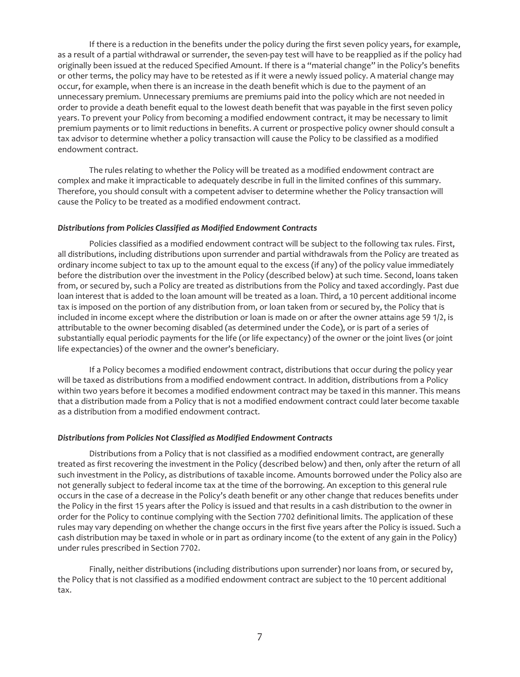If there is a reduction in the benefits under the policy during the first seven policy years, for example, as a result of a partial withdrawal or surrender, the seven-pay test will have to be reapplied as if the policy had originally been issued at the reduced Specified Amount. If there is a "material change" in the Policy's benefits or other terms, the policy may have to be retested as if it were a newly issued policy. A material change may occur, for example, when there is an increase in the death benefit which is due to the payment of an unnecessary premium. Unnecessary premiums are premiums paid into the policy which are not needed in order to provide a death benefit equal to the lowest death benefit that was payable in the first seven policy years. To prevent your Policy from becoming a modified endowment contract, it may be necessary to limit premium payments or to limit reductions in benefits. A current or prospective policy owner should consult a tax advisor to determine whether a policy transaction will cause the Policy to be classified as a modified endowment contract.

The rules relating to whether the Policy will be treated as a modified endowment contract are complex and make it impracticable to adequately describe in full in the limited confines of this summary. Therefore, you should consult with a competent adviser to determine whether the Policy transaction will cause the Policy to be treated as a modified endowment contract.

#### *Distributions from Policies Classified as Modified Endowment Contracts*

Policies classified as a modified endowment contract will be subject to the following tax rules. First, all distributions, including distributions upon surrender and partial withdrawals from the Policy are treated as ordinary income subject to tax up to the amount equal to the excess (if any) of the policy value immediately before the distribution over the investment in the Policy (described below) at such time. Second, loans taken from, or secured by, such a Policy are treated as distributions from the Policy and taxed accordingly. Past due loan interest that is added to the loan amount will be treated as a loan. Third, a 10 percent additional income tax is imposed on the portion of any distribution from, or loan taken from or secured by, the Policy that is included in income except where the distribution or loan is made on or after the owner attains age 59 1/2, is attributable to the owner becoming disabled (as determined under the Code), or is part of a series of substantially equal periodic payments for the life (or life expectancy) of the owner or the joint lives (or joint life expectancies) of the owner and the owner's beneficiary.

If a Policy becomes a modified endowment contract, distributions that occur during the policy year will be taxed as distributions from a modified endowment contract. In addition, distributions from a Policy within two years before it becomes a modified endowment contract may be taxed in this manner. This means that a distribution made from a Policy that is not a modified endowment contract could later become taxable as a distribution from a modified endowment contract.

#### *Distributions from Policies Not Classified as Modified Endowment Contracts*

Distributions from a Policy that is not classified as a modified endowment contract, are generally treated as first recovering the investment in the Policy (described below) and then, only after the return of all such investment in the Policy, as distributions of taxable income. Amounts borrowed under the Policy also are not generally subject to federal income tax at the time of the borrowing. An exception to this general rule occurs in the case of a decrease in the Policy's death benefit or any other change that reduces benefits under the Policy in the first 15 years after the Policy is issued and that results in a cash distribution to the owner in order for the Policy to continue complying with the Section 7702 definitional limits. The application of these rules may vary depending on whether the change occurs in the first five years after the Policy is issued. Such a cash distribution may be taxed in whole or in part as ordinary income (to the extent of any gain in the Policy) under rules prescribed in Section 7702.

Finally, neither distributions (including distributions upon surrender) nor loans from, or secured by, the Policy that is not classified as a modified endowment contract are subject to the 10 percent additional tax.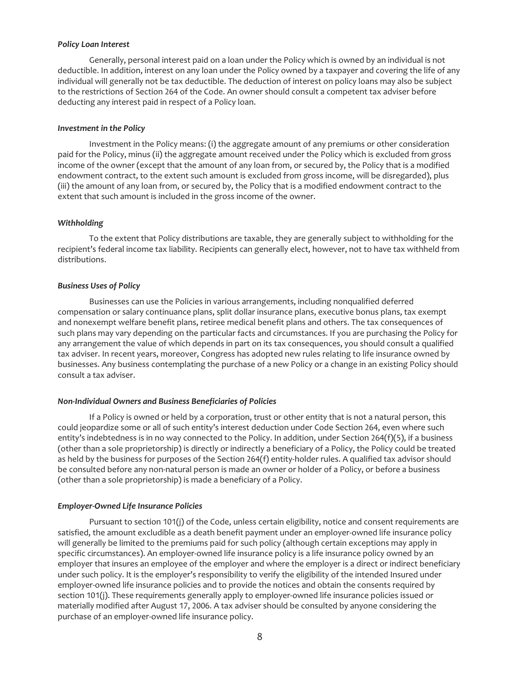#### *Policy Loan Interest*

Generally, personal interest paid on a loan under the Policy which is owned by an individual is not deductible. In addition, interest on any loan under the Policy owned by a taxpayer and covering the life of any individual will generally not be tax deductible. The deduction of interest on policy loans may also be subject to the restrictions of Section 264 of the Code. An owner should consult a competent tax adviser before deducting any interest paid in respect of a Policy loan.

#### *Investment in the Policy*

Investment in the Policy means: (i) the aggregate amount of any premiums or other consideration paid for the Policy, minus (ii) the aggregate amount received under the Policy which is excluded from gross income of the owner (except that the amount of any loan from, or secured by, the Policy that is a modified endowment contract, to the extent such amount is excluded from gross income, will be disregarded), plus (iii) the amount of any loan from, or secured by, the Policy that is a modified endowment contract to the extent that such amount is included in the gross income of the owner.

#### *Withholding*

To the extent that Policy distributions are taxable, they are generally subject to withholding for the recipient's federal income tax liability. Recipients can generally elect, however, not to have tax withheld from distributions.

#### *Business Uses of Policy*

Businesses can use the Policies in various arrangements, including nonqualified deferred compensation or salary continuance plans, split dollar insurance plans, executive bonus plans, tax exempt and nonexempt welfare benefit plans, retiree medical benefit plans and others. The tax consequences of such plans may vary depending on the particular facts and circumstances. If you are purchasing the Policy for any arrangement the value of which depends in part on its tax consequences, you should consult a qualified tax adviser. In recent years, moreover, Congress has adopted new rules relating to life insurance owned by businesses. Any business contemplating the purchase of a new Policy or a change in an existing Policy should consult a tax adviser.

#### *Non-Individual Owners and Business Beneficiaries of Policies*

If a Policy is owned or held by a corporation, trust or other entity that is not a natural person, this could jeopardize some or all of such entity's interest deduction under Code Section 264, even where such entity's indebtedness is in no way connected to the Policy. In addition, under Section 264(f)(5), if a business (other than a sole proprietorship) is directly or indirectly a beneficiary of a Policy, the Policy could be treated as held by the business for purposes of the Section 264(f) entity-holder rules. A qualified tax advisor should be consulted before any non-natural person is made an owner or holder of a Policy, or before a business (other than a sole proprietorship) is made a beneficiary of a Policy.

#### *Employer-Owned Life Insurance Policies*

Pursuant to section 101(j) of the Code, unless certain eligibility, notice and consent requirements are satisfied, the amount excludible as a death benefit payment under an employer-owned life insurance policy will generally be limited to the premiums paid for such policy (although certain exceptions may apply in specific circumstances). An employer-owned life insurance policy is a life insurance policy owned by an employer that insures an employee of the employer and where the employer is a direct or indirect beneficiary under such policy. It is the employer's responsibility to verify the eligibility of the intended Insured under employer-owned life insurance policies and to provide the notices and obtain the consents required by section 101(j). These requirements generally apply to employer-owned life insurance policies issued or materially modified after August 17, 2006. A tax adviser should be consulted by anyone considering the purchase of an employer-owned life insurance policy.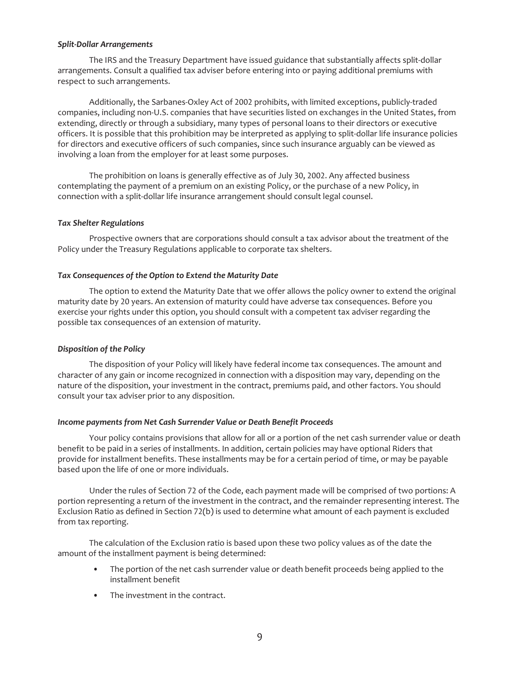#### *Split-Dollar Arrangements*

The IRS and the Treasury Department have issued guidance that substantially affects split-dollar arrangements. Consult a qualified tax adviser before entering into or paying additional premiums with respect to such arrangements.

Additionally, the Sarbanes-Oxley Act of 2002 prohibits, with limited exceptions, publicly-traded companies, including non-U.S. companies that have securities listed on exchanges in the United States, from extending, directly or through a subsidiary, many types of personal loans to their directors or executive officers. It is possible that this prohibition may be interpreted as applying to split-dollar life insurance policies for directors and executive officers of such companies, since such insurance arguably can be viewed as involving a loan from the employer for at least some purposes.

The prohibition on loans is generally effective as of July 30, 2002. Any affected business contemplating the payment of a premium on an existing Policy, or the purchase of a new Policy, in connection with a split-dollar life insurance arrangement should consult legal counsel.

#### *Tax Shelter Regulations*

Prospective owners that are corporations should consult a tax advisor about the treatment of the Policy under the Treasury Regulations applicable to corporate tax shelters.

## *Tax Consequences of the Option to Extend the Maturity Date*

The option to extend the Maturity Date that we offer allows the policy owner to extend the original maturity date by 20 years. An extension of maturity could have adverse tax consequences. Before you exercise your rights under this option, you should consult with a competent tax adviser regarding the possible tax consequences of an extension of maturity.

#### *Disposition of the Policy*

The disposition of your Policy will likely have federal income tax consequences. The amount and character of any gain or income recognized in connection with a disposition may vary, depending on the nature of the disposition, your investment in the contract, premiums paid, and other factors. You should consult your tax adviser prior to any disposition.

#### *Income payments from Net Cash Surrender Value or Death Benefit Proceeds*

Your policy contains provisions that allow for all or a portion of the net cash surrender value or death benefit to be paid in a series of installments. In addition, certain policies may have optional Riders that provide for installment benefits. These installments may be for a certain period of time, or may be payable based upon the life of one or more individuals.

Under the rules of Section 72 of the Code, each payment made will be comprised of two portions: A portion representing a return of the investment in the contract, and the remainder representing interest. The Exclusion Ratio as defined in Section 72(b) is used to determine what amount of each payment is excluded from tax reporting.

The calculation of the Exclusion ratio is based upon these two policy values as of the date the amount of the installment payment is being determined:

- The portion of the net cash surrender value or death benefit proceeds being applied to the installment benefit
- The investment in the contract.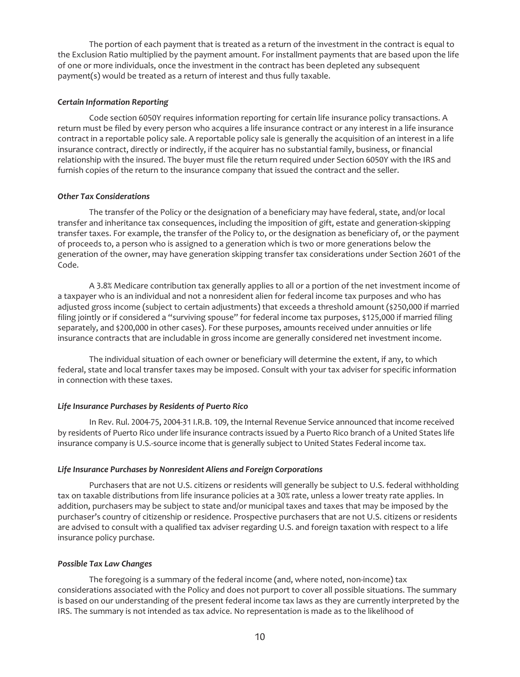The portion of each payment that is treated as a return of the investment in the contract is equal to the Exclusion Ratio multiplied by the payment amount. For installment payments that are based upon the life of one or more individuals, once the investment in the contract has been depleted any subsequent payment(s) would be treated as a return of interest and thus fully taxable.

## *Certain Information Reporting*

Code section 6050Y requires information reporting for certain life insurance policy transactions. A return must be filed by every person who acquires a life insurance contract or any interest in a life insurance contract in a reportable policy sale. A reportable policy sale is generally the acquisition of an interest in a life insurance contract, directly or indirectly, if the acquirer has no substantial family, business, or financial relationship with the insured. The buyer must file the return required under Section 6050Y with the IRS and furnish copies of the return to the insurance company that issued the contract and the seller.

## *Other Tax Considerations*

The transfer of the Policy or the designation of a beneficiary may have federal, state, and/or local transfer and inheritance tax consequences, including the imposition of gift, estate and generation-skipping transfer taxes. For example, the transfer of the Policy to, or the designation as beneficiary of, or the payment of proceeds to, a person who is assigned to a generation which is two or more generations below the generation of the owner, may have generation skipping transfer tax considerations under Section 2601 of the Code.

A 3.8% Medicare contribution tax generally applies to all or a portion of the net investment income of a taxpayer who is an individual and not a nonresident alien for federal income tax purposes and who has adjusted gross income (subject to certain adjustments) that exceeds a threshold amount (\$250,000 if married filing jointly or if considered a "surviving spouse" for federal income tax purposes, \$125,000 if married filing separately, and \$200,000 in other cases). For these purposes, amounts received under annuities or life insurance contracts that are includable in gross income are generally considered net investment income.

The individual situation of each owner or beneficiary will determine the extent, if any, to which federal, state and local transfer taxes may be imposed. Consult with your tax adviser for specific information in connection with these taxes.

## *Life Insurance Purchases by Residents of Puerto Rico*

In Rev. Rul. 2004-75, 2004-31 I.R.B. 109, the Internal Revenue Service announced that income received by residents of Puerto Rico under life insurance contracts issued by a Puerto Rico branch of a United States life insurance company is U.S.-source income that is generally subject to United States Federal income tax.

## *Life Insurance Purchases by Nonresident Aliens and Foreign Corporations*

Purchasers that are not U.S. citizens or residents will generally be subject to U.S. federal withholding tax on taxable distributions from life insurance policies at a 30% rate, unless a lower treaty rate applies. In addition, purchasers may be subject to state and/or municipal taxes and taxes that may be imposed by the purchaser's country of citizenship or residence. Prospective purchasers that are not U.S. citizens or residents are advised to consult with a qualified tax adviser regarding U.S. and foreign taxation with respect to a life insurance policy purchase.

## *Possible Tax Law Changes*

The foregoing is a summary of the federal income (and, where noted, non-income) tax considerations associated with the Policy and does not purport to cover all possible situations. The summary is based on our understanding of the present federal income tax laws as they are currently interpreted by the IRS. The summary is not intended as tax advice. No representation is made as to the likelihood of